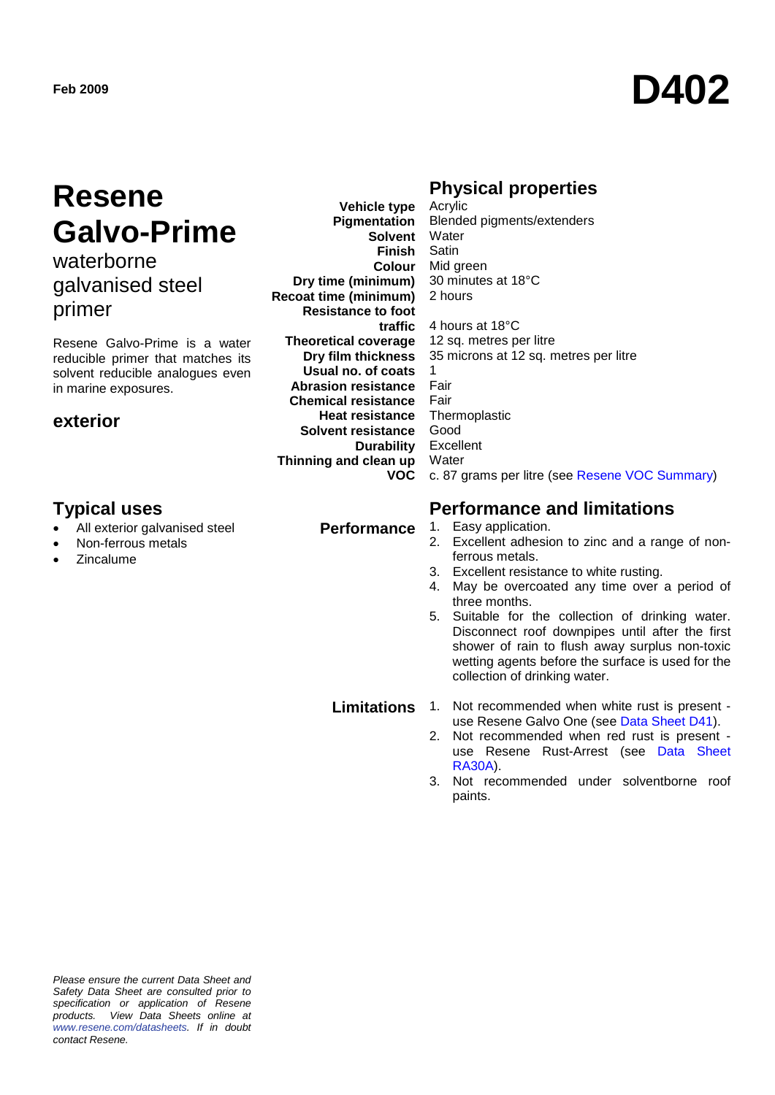# **Feb 2009 D402**

## **Resene Galvo-Prime**

### waterborne galvanised steel primer

Resene Galvo-Prime is a water reducible primer that matches its solvent reducible analogues even in marine exposures.

#### **exterior**

#### **Typical uses Performance and limitations**

- All exterior galvanised steel
- Non-ferrous metals
- **Zincalume**

**Vehicle type Pigmentation Dry time (minimum) Recoat time (minimum) Resistance to foot traffic Theoretical coverage Dry film thickness Usual no. of coats Abrasion resistance Chemical resistance Heat resistance Solvent resistance Durability Thinning and clean up VOC**

#### **Physical properties**

**Solvent** Water **Finish** Satin **Colour** Mid green Acrylic Blended pigments/extenders 30 minutes at 18°C 2 hours 4 hours at 18°C 12 sq. metres per litre 35 microns at 12 sq. metres per litre 1 Fair Fair Thermoplastic Good Excellent **Water** c. 87 grams per litre (see [Resene VOC Summary\)](http://www.resene.co.nz/archspec/datashts/vocsummary.pdf)

### **Performance** 1. Easy application.

- 2. Excellent adhesion to zinc and a range of nonferrous metals.
- 3. Excellent resistance to white rusting.
- 4. May be overcoated any time over a period of three months.
- 5. Suitable for the collection of drinking water. Disconnect roof downpipes until after the first shower of rain to flush away surplus non-toxic wetting agents before the surface is used for the collection of drinking water.

- **Limitations** 1. Not recommended when white rust is present use Resene Galvo One (see [Data Sheet D41\)](http://www.resene.co.nz/archspec/datashts/d41_Galvo_One_Primer.pdf).
	- 2. Not recommended when red rust is present use Resene Rust-Arrest (see [Data Sheet](http://www.resene.co.nz/archspec/datashts/ra30a_Rust-Arrest_Primer.pdf)  [RA30A\)](http://www.resene.co.nz/archspec/datashts/ra30a_Rust-Arrest_Primer.pdf).
	- 3. Not recommended under solventborne roof paints.